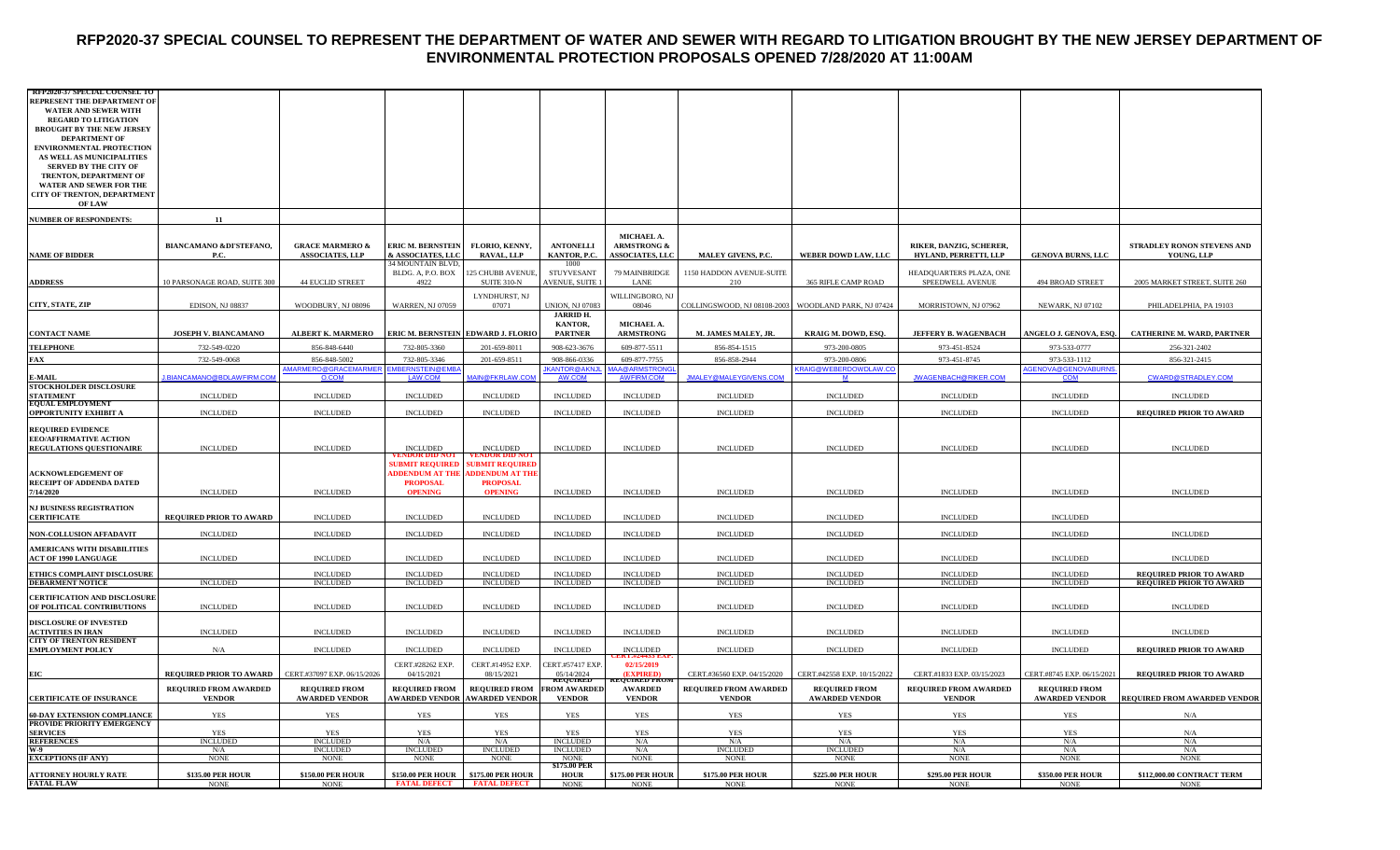#### **RFP2020-37 SPECIAL COUNSEL TO REPRESENT THE DEPARTMENT OF WATER AND SEWER WITH REGARD TO LITIGATION BROUGHT BY THE NEW JERSEY DEPARTMENT OF ENVIRONMENTAL PROTECTION PROPOSALS OPENED 7/28/2020 AT 11:00AM**

| <b>RFP2020-37 SPECIAL COUNSEL T</b><br>REPRESENT THE DEPARTMENT OF<br>WATER AND SEWER WITH<br><b>REGARD TO LITIGATION</b><br><b>BROUGHT BY THE NEW JERSEY</b><br><b>DEPARTMENT OF</b><br>ENVIRONMENTAL PROTECTION<br>AS WELL AS MUNICIPALITIES<br>SERVED BY THE CITY OF<br>TRENTON, DEPARTMENT OF<br>WATER AND SEWER FOR THE |                                               |                                                      |                                                       |                                                                     |                                               |                                                                |                                               |                                               |                                                  |                                               |                                                                  |
|------------------------------------------------------------------------------------------------------------------------------------------------------------------------------------------------------------------------------------------------------------------------------------------------------------------------------|-----------------------------------------------|------------------------------------------------------|-------------------------------------------------------|---------------------------------------------------------------------|-----------------------------------------------|----------------------------------------------------------------|-----------------------------------------------|-----------------------------------------------|--------------------------------------------------|-----------------------------------------------|------------------------------------------------------------------|
| CITY OF TRENTON, DEPARTMENT<br><b>OF LAW</b>                                                                                                                                                                                                                                                                                 |                                               |                                                      |                                                       |                                                                     |                                               |                                                                |                                               |                                               |                                                  |                                               |                                                                  |
| <b>NUMBER OF RESPONDENTS:</b>                                                                                                                                                                                                                                                                                                | 11                                            |                                                      |                                                       |                                                                     |                                               |                                                                |                                               |                                               |                                                  |                                               |                                                                  |
| <b>NAME OF BIDDER</b>                                                                                                                                                                                                                                                                                                        | BIANCAMANO &DI'STEFANO,<br>P.C.               | <b>GRACE MARMERO &amp;</b><br><b>ASSOCIATES, LLP</b> | <b>ERIC M. BERNSTEIN</b><br>& ASSOCIATES, LLC         | FLORIO, KENNY,<br>RAVAL, LLP                                        | <b>ANTONELLI</b><br>KANTOR, P.C.              | MICHAEL A.<br><b>ARMSTRONG &amp;</b><br><b>ASSOCIATES, LLC</b> | MALEY GIVENS, P.C.                            | WEBER DOWD LAW, LLC                           | RIKER, DANZIG, SCHERER,<br>HYLAND, PERRETTI, LLP | <b>GENOVA BURNS, LLC</b>                      | STRADLEY RONON STEVENS AND<br>YOUNG, LLP                         |
| <b>ADDRESS</b>                                                                                                                                                                                                                                                                                                               | 10 PARSONAGE ROAD, SUITE 300                  | <b>44 EUCLID STREET</b>                              | 34 MOUNTAIN BLVD,<br>BLDG. A, P.O. BOX<br>4922        | 125 CHUBB AVENUE,<br>SUITE 310-N                                    | 1000<br>STUYVESANT<br>AVENUE, SUITE           | 79 MAINBRIDGE<br>LANE                                          | 1150 HADDON AVENUE-SUITE<br>210               | 365 RIFLE CAMP ROAD                           | HEADQUARTERS PLAZA, ONE<br>SPEEDWELL AVENUE      | 494 BROAD STREET                              | 2005 MARKET STREET, SUITE 260                                    |
| CITY, STATE, ZIP                                                                                                                                                                                                                                                                                                             | EDISON, NJ 08837                              | WOODBURY, NJ 08096                                   | <b>WARREN, NJ 07059</b>                               | LYNDHURST, NJ<br>07071                                              | UNION, NJ 07083                               | WILLINGBORO, NJ<br>08046                                       | COLLINGSWOOD, NJ 08108-2003                   | WOODLAND PARK, NJ 07424                       | MORRISTOWN, NJ 07962                             | NEWARK, NJ 07102                              | PHILADELPHIA, PA 19103                                           |
| <b>CONTACT NAME</b>                                                                                                                                                                                                                                                                                                          | JOSEPH V. BIANCAMANO                          | ALBERT K. MARMERO                                    | <b>ERIC M. BERNSTEIN EDWARD J. FLORIO</b>             |                                                                     | <b>JARRID H.</b><br>KANTOR,<br><b>PARTNER</b> | MICHAEL A.<br><b>ARMSTRONG</b>                                 | M. JAMES MALEY, JR                            | KRAIG M. DOWD, ESQ.                           | <b>JEFFERY B. WAGENBACH</b>                      | ANGELO J. GENOVA, ESO.                        | <b>CATHERINE M. WARD, PARTNER</b>                                |
| <b>TELEPHONE</b>                                                                                                                                                                                                                                                                                                             | 732-549-0220                                  | 856-848-6440                                         | 732-805-3360                                          | 201-659-8011                                                        | 908-623-3676                                  | 609-877-5511                                                   | 856-854-1515                                  | 973-200-0805                                  | 973-451-8524                                     | 973-533-0777                                  | 256-321-2402                                                     |
| <b>FAX</b>                                                                                                                                                                                                                                                                                                                   | 732-549-0068                                  | 856-848-5002                                         | 732-805-3346                                          | 201-659-8511                                                        | 908-866-0336                                  | 609-877-7755                                                   | 856-858-2944                                  | 973-200-0806                                  | 973-451-8745                                     | 973-533-1112                                  | 856-321-2415                                                     |
|                                                                                                                                                                                                                                                                                                                              | BIANCAMANO@BDLAWFIRM.COM                      | <u>MARMERO@GRACEMARMER</u><br>O.COM                  | EMBERNSTEIN@EME                                       | <b>MAIN@FKRLAW.COM</b>                                              | <b>KANTOR@AKNJ</b><br>AW.COM                  | AA@ARMSTRONG<br>AWFIRM.COM                                     | JMALEY@MALEYGIVENS.COM                        | <b>KRAIG@WEBERDOWDLAW.CC</b><br>M             | JWAGENBACH@RIKER.COM                             | AGENOVA@GENOVABURNS<br>COM                    | CWARD@STRADLEY.COM                                               |
| E-MAIL<br>STOCKHOLDER DISCLOSURE<br>STATEMENT<br>EQUAL EMPLOYMENT                                                                                                                                                                                                                                                            | <b>INCLUDED</b>                               | <b>INCLUDED</b>                                      | <b>INCLUDED</b>                                       | <b>INCLUDED</b>                                                     | <b>INCLUDED</b>                               | <b>INCLUDED</b>                                                | <b>INCLUDED</b>                               | <b>INCLUDED</b>                               | <b>INCLUDED</b>                                  | <b>INCLUDED</b>                               | <b>INCLUDED</b>                                                  |
| OPPORTUNITY EXHIBIT A                                                                                                                                                                                                                                                                                                        | <b>INCLUDED</b>                               | <b>INCLUDED</b>                                      | <b>INCLUDED</b>                                       | <b>INCLUDED</b>                                                     | <b>INCLUDED</b>                               | <b>INCLUDED</b>                                                | <b>INCLUDED</b>                               | <b>INCLUDED</b>                               | <b>INCLUDED</b>                                  | <b>INCLUDED</b>                               | REQUIRED PRIOR TO AWARD                                          |
| <b>REQUIRED EVIDENCE</b><br><b>EEO/AFFIRMATIVE ACTION</b>                                                                                                                                                                                                                                                                    |                                               |                                                      |                                                       |                                                                     |                                               |                                                                |                                               |                                               |                                                  |                                               |                                                                  |
| <b>REGULATIONS QUESTIONAIRE</b>                                                                                                                                                                                                                                                                                              | <b>INCLUDED</b>                               | <b>INCLUDED</b>                                      | <b>INCLUDED</b>                                       | <b>INCLUDED</b>                                                     | <b>INCLUDED</b>                               | <b>INCLUDED</b>                                                | <b>INCLUDED</b>                               | <b>INCLUDED</b>                               | <b>INCLUDED</b>                                  | <b>INCLUDED</b>                               | <b>INCLUDED</b>                                                  |
| <b>ACKNOWLEDGEMENT OF</b><br><b>RECEIPT OF ADDENDA DATED</b>                                                                                                                                                                                                                                                                 |                                               |                                                      | SUBMIT REQUIRED<br>ADDENDUM AT THE<br><b>PROPOSAL</b> | <b>SUBMIT REQUIRED</b><br><b>ADDENDUM AT THE</b><br><b>PROPOSAL</b> |                                               |                                                                |                                               |                                               |                                                  |                                               |                                                                  |
| 7/14/2020                                                                                                                                                                                                                                                                                                                    | <b>INCLUDED</b>                               | <b>INCLUDED</b>                                      | <b>OPENING</b>                                        | <b>OPENING</b>                                                      | <b>INCLUDED</b>                               | <b>INCLUDED</b>                                                | <b>INCLUDED</b>                               | <b>INCLUDED</b>                               | <b>INCLUDED</b>                                  | <b>INCLUDED</b>                               | <b>INCLUDED</b>                                                  |
| <b>NJ BUSINESS REGISTRATION</b><br><b>CERTIFICATE</b>                                                                                                                                                                                                                                                                        | REQUIRED PRIOR TO AWARD                       | <b>INCLUDED</b>                                      | <b>INCLUDED</b>                                       | <b>INCLUDED</b>                                                     | <b>INCLUDED</b>                               | <b>INCLUDED</b>                                                | <b>INCLUDED</b>                               | <b>INCLUDED</b>                               | <b>INCLUDED</b>                                  | <b>INCLUDED</b>                               |                                                                  |
| <b>NON-COLLUSION AFFADAVIT</b>                                                                                                                                                                                                                                                                                               | <b>INCLUDED</b>                               | <b>INCLUDED</b>                                      | <b>INCLUDED</b>                                       | <b>INCLUDED</b>                                                     | <b>INCLUDED</b>                               | <b>INCLUDED</b>                                                | <b>INCLUDED</b>                               | <b>INCLUDED</b>                               | <b>INCLUDED</b>                                  | <b>INCLUDED</b>                               | <b>INCLUDED</b>                                                  |
| <b>AMERICANS WITH DISABILITIES</b><br><b>ACT OF 1990 LANGUAGE</b>                                                                                                                                                                                                                                                            | <b>INCLUDED</b>                               | <b>INCLUDED</b>                                      | <b>INCLUDED</b>                                       | <b>INCLUDED</b>                                                     | <b>INCLUDED</b>                               | <b>INCLUDED</b>                                                | <b>INCLUDED</b>                               | <b>INCLUDED</b>                               | <b>INCLUDED</b>                                  | <b>INCLUDED</b>                               | <b>INCLUDED</b>                                                  |
| ETHICS COMPLAINT DISCLOSURE<br><b>DEBARMENT NOTICE</b>                                                                                                                                                                                                                                                                       |                                               | <b>INCLUDED</b>                                      | <b>INCLUDED</b><br><b>INCLUDED</b>                    | <b>INCLUDED</b>                                                     | <b>INCLUDED</b>                               | <b>INCLUDED</b><br><b>INCLUDED</b>                             | <b>INCLUDED</b><br><b>INCLUDED</b>            | <b>INCLUDED</b>                               | <b>INCLUDED</b>                                  | <b>INCLUDED</b><br><b>INCLUDED</b>            | <b>REQUIRED PRIOR TO AWARD</b><br><b>REQUIRED PRIOR TO AWARD</b> |
|                                                                                                                                                                                                                                                                                                                              | <b>INCLUDED</b>                               | <b>INCLUDED</b>                                      |                                                       | <b>INCLUDED</b>                                                     | <b>INCLUDED</b>                               |                                                                |                                               | <b>INCLUDED</b>                               | <b>INCLUDED</b>                                  |                                               |                                                                  |
| <b>CERTIFICATION AND DISCLOSURE</b><br>OF POLITICAL CONTRIBUTIONS                                                                                                                                                                                                                                                            | <b>INCLUDED</b>                               | <b>INCLUDED</b>                                      | <b>INCLUDED</b>                                       | <b>INCLUDED</b>                                                     | <b>INCLUDED</b>                               | <b>INCLUDED</b>                                                | <b>INCLUDED</b>                               | <b>INCLUDED</b>                               | <b>INCLUDED</b>                                  | <b>INCLUDED</b>                               | <b>INCLUDED</b>                                                  |
| <b>DISCLOSURE OF INVESTED</b><br><b>ACTIVITIES IN IRAN</b><br><b>CITY OF TRENTON RESIDENT</b>                                                                                                                                                                                                                                | <b>INCLUDED</b>                               | <b>INCLUDED</b>                                      | <b>INCLUDED</b>                                       | <b>INCLUDED</b>                                                     | <b>INCLUDED</b>                               | <b>INCLUDED</b>                                                | <b>INCLUDED</b>                               | <b>INCLUDED</b>                               | <b>INCLUDED</b>                                  | <b>INCLUDED</b>                               | <b>INCLUDED</b>                                                  |
| <b>EMPLOYMENT POLICY</b>                                                                                                                                                                                                                                                                                                     | N/A                                           | <b>INCLUDED</b>                                      | <b>INCLUDED</b>                                       | <b>INCLUDED</b>                                                     | <b>INCLUDED</b>                               | INCLUDED<br>K1.#24433 E                                        | <b>INCLUDED</b>                               | <b>INCLUDED</b>                               | <b>INCLUDED</b>                                  | <b>INCLUDED</b>                               | <b>REQUIRED PRIOR TO AWARD</b>                                   |
| EIC                                                                                                                                                                                                                                                                                                                          | REQUIRED PRIOR TO AWARD                       | CERT.#37097 EXP. 06/15/2026                          | CERT.#28262 EXP.<br>04/15/2021                        | CERT.#14952 EXP.<br>08/15/2021                                      | CERT.#57417 EXP<br>05/14/2024                 | 02/15/2019<br>(EXPIRED)<br><b>EQUIRED FRU</b>                  | CERT.#36560 EXP. 04/15/2020                   | CERT.#42558 EXP. 10/15/2022                   | CERT.#1833 EXP. 03/15/2023                       | CERT.#8745 EXP. 06/15/2021                    | REQUIRED PRIOR TO AWARD                                          |
| <b>CERTIFICATE OF INSURANCE</b>                                                                                                                                                                                                                                                                                              | <b>REQUIRED FROM AWARDED</b><br><b>VENDOR</b> | <b>REQUIRED FROM</b><br><b>AWARDED VENDOR</b>        | <b>REQUIRED FROM</b>                                  | <b>REQUIRED FROM</b><br><b>AWARDED VENDOR AWARDED VENDOR</b>        | <b>ROM AWARDED</b><br><b>VENDOR</b>           | <b>AWARDED</b><br><b>VENDOR</b>                                | <b>REQUIRED FROM AWARDED</b><br><b>VENDOR</b> | <b>REQUIRED FROM</b><br><b>AWARDED VENDOR</b> | <b>REQUIRED FROM AWARDED</b><br><b>VENDOR</b>    | <b>REQUIRED FROM</b><br><b>AWARDED VENDOR</b> | <b>REQUIRED FROM AWARDED VENDOR</b>                              |
| <b>60-DAY EXTENSION COMPLIANCE<br/>PROVIDE PRIORITY EMERGENCY</b>                                                                                                                                                                                                                                                            | YES                                           | YES                                                  | YES                                                   | YES                                                                 | YES                                           | YES                                                            | YES                                           | YES                                           | YES                                              | YES                                           | N/A                                                              |
| <b>SERVICES</b>                                                                                                                                                                                                                                                                                                              | <b>YES</b>                                    | <b>YES</b>                                           | <b>YES</b>                                            | <b>YES</b>                                                          | <b>YES</b>                                    | <b>YES</b>                                                     | YES                                           | <b>YES</b>                                    | <b>YES</b>                                       | <b>YES</b>                                    | N/A                                                              |
| <b>REFERENCES</b>                                                                                                                                                                                                                                                                                                            | <b>INCLUDED</b>                               | <b>INCLUDED</b>                                      | N/A                                                   | N/A                                                                 | <b>INCLUDED</b>                               | N/A                                                            | N/A                                           | N/A                                           | N/A                                              | N/A                                           | N/A                                                              |
| W-9<br><b>EXCEPTIONS (IF ANY)</b>                                                                                                                                                                                                                                                                                            | N/A<br><b>NONE</b>                            | <b>INCLUDED</b><br><b>NONE</b>                       | INCLUDED<br><b>NONE</b>                               | INCLUDED<br><b>NONE</b>                                             | <b>INCLUDED</b><br><b>NONE</b>                | N/A<br><b>NONE</b>                                             | INCLUDED<br><b>NONE</b>                       | INCLUDED<br><b>NONE</b>                       | N/A<br><b>NONE</b>                               | N/A<br><b>NONE</b>                            | N/A<br><b>NONE</b>                                               |
| ATTORNEY HOURLY RATE<br>FATAL FLAW                                                                                                                                                                                                                                                                                           | \$135.00 PER HOUR                             | <b>\$150.00 PER HOUR</b>                             | <b>\$150.00 PER HOUR</b>                              | <b>\$175.00 PER HOUR</b>                                            | \$175.00 PER<br><b>HOUR</b>                   | \$175.00 PER HOUE                                              | \$175.00 PER HOUR                             | \$225.00 PER HOUR                             | \$295.00 PER HOUR                                | \$350.00 PER HOUR                             | \$112,000.00 CONTRACT TERM                                       |
|                                                                                                                                                                                                                                                                                                                              | <b>NONE</b>                                   | <b>NONE</b>                                          | <b>FATAL DEFECT FATAL DEFECT</b>                      |                                                                     | <b>NONE</b>                                   | <b>NONE</b>                                                    | NONE                                          | <b>NONF</b>                                   | NONF                                             | <b>NONE</b>                                   | <b>NONI</b>                                                      |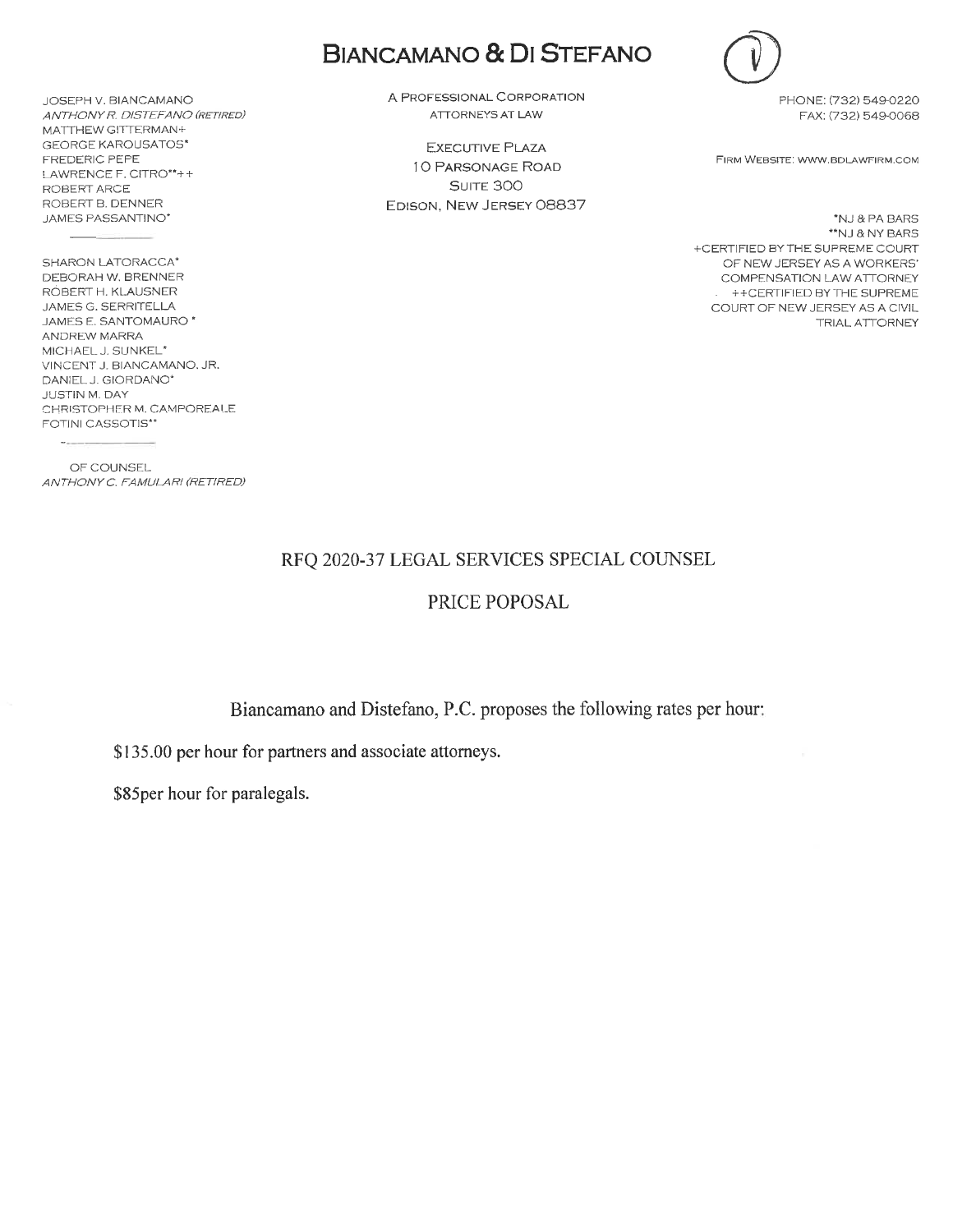JOSEPH V. BIANCAMANO ANTHONY R. DISTEFANO (RETIRED) MATTHEW GITTERMAN+ **GEORGE KAROUSATOS\*** FREDERIC PEPE LAWRENCE F. CITRO\*\*++ ROBERT ARCE ROBERT B. DENNER JAMES PASSANTINO\*

SHARON LATORACCA\* DEBORAH W. BRENNER RÓBERT H. KLAUSNER JAMES G. SERRITELLA JAMES E. SANTOMAURO<sup>\*</sup> ANDREW MARRA MICHAEL J. SUNKEL\* VINCENT J. BIANCAMANO, JR. DANIEL J. GIORDANO\* **JUSTIN M. DAY** CHRISTOPHER M. CAMPOREALE FOTINI CASSOTIS\*\*

OF COUNSEL ANTHONY C. FAMULARI (RETIRED)

## **BIANCAMANO & DI STEFANO**

A PROFESSIONAL CORPORATION ATTORNEYS AT LAW

**EXECUTIVE PLAZA** 10 PARSONAGE ROAD SUITE 300 EDISON, NEW JERSEY 08837



PHONE: (732) 549-0220 FAX: (732) 549-0068

FIRM WEBSITE: WWW.BDLAWFIRM.COM

\*NJ & PA BARS \*\*NJ & NY BARS +CERTIFIED BY THE SUPREME COURT OF NEW JERSEY AS A WORKERS' COMPENSATION LAW ATTORNEY ++CERTIFIED BY THE SUPREME COURT OF NEW JERSEY AS A CIVIL **TRIAL ATTORNEY** 

#### RFQ 2020-37 LEGAL SERVICES SPECIAL COUNSEL

### PRICE POPOSAL

Biancamano and Distefano, P.C. proposes the following rates per hour:

\$135.00 per hour for partners and associate attorneys.

\$85per hour for paralegals.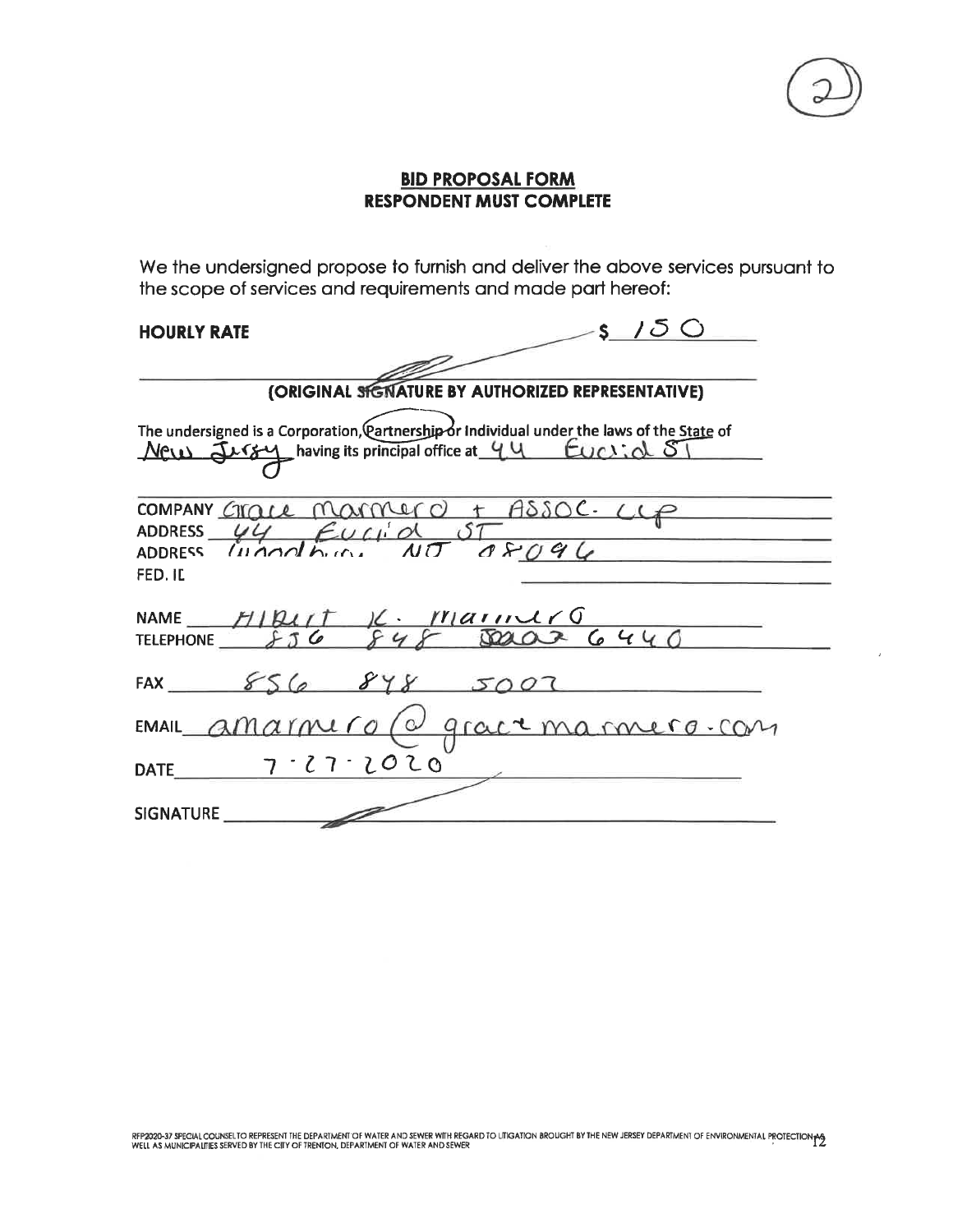### **BID PROPOSAL FORM RESPONDENT MUST COMPLETE**

We the undersigned propose to furnish and deliver the above services pursuant to the scope of services and requirements and made part hereof:

### **HOURLY RATE**

| S/JO<br>HOURLY RATE                                                                                                                                  |  |  |  |  |
|------------------------------------------------------------------------------------------------------------------------------------------------------|--|--|--|--|
|                                                                                                                                                      |  |  |  |  |
| (ORIGINAL SIGNATURE BY AUTHORIZED REPRESENTATIVE)                                                                                                    |  |  |  |  |
| The undersigned is a Corporation, Partnership or Individual under the laws of the State of<br>New Jurgy having its principal office at 44 EUCLIOL ST |  |  |  |  |
| COMPANY GIGLE MAMMERO + ASSOC. CLP<br>ADDRESS $\frac{VU}{W}$ EUCLION ST<br>ADDRESS INOORDUCES<br>FED. IL                                             |  |  |  |  |
| NAME HIBUT K. MainlrG<br>TELEPHONE 256 848 SOLOR 6440<br><b>TELEPHONE</b>                                                                            |  |  |  |  |
| FAX $8568985007$                                                                                                                                     |  |  |  |  |
| EMAIL amarmero (a grace marmero com                                                                                                                  |  |  |  |  |
| $7 - 27 - 2020$<br><b>DATE</b>                                                                                                                       |  |  |  |  |
| <b>SIGNATURE</b>                                                                                                                                     |  |  |  |  |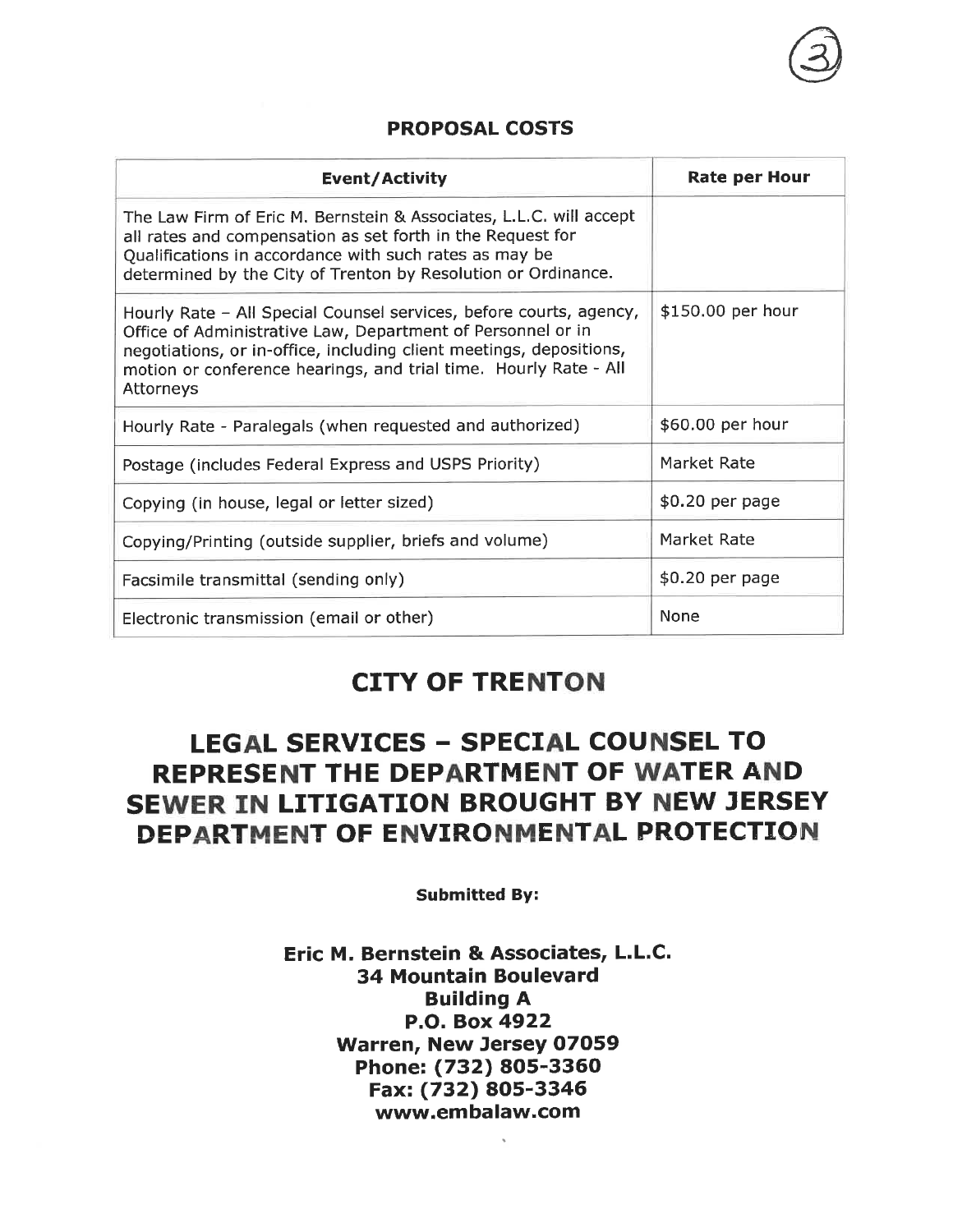## **PROPOSAL COSTS**

| Event/Activity                                                                                                                                                                                                                                                                            | <b>Rate per Hour</b> |
|-------------------------------------------------------------------------------------------------------------------------------------------------------------------------------------------------------------------------------------------------------------------------------------------|----------------------|
| The Law Firm of Eric M. Bernstein & Associates, L.L.C. will accept<br>all rates and compensation as set forth in the Request for<br>Qualifications in accordance with such rates as may be<br>determined by the City of Trenton by Resolution or Ordinance.                               |                      |
| Hourly Rate - All Special Counsel services, before courts, agency,<br>Office of Administrative Law, Department of Personnel or in<br>negotiations, or in-office, including client meetings, depositions,<br>motion or conference hearings, and trial time. Hourly Rate - All<br>Attorneys | \$150.00 per hour    |
| Hourly Rate - Paralegals (when requested and authorized)                                                                                                                                                                                                                                  | \$60.00 per hour     |
| Postage (includes Federal Express and USPS Priority)                                                                                                                                                                                                                                      | Market Rate          |
| Copying (in house, legal or letter sized)                                                                                                                                                                                                                                                 | \$0.20 per page      |
| Copying/Printing (outside supplier, briefs and volume)                                                                                                                                                                                                                                    | Market Rate          |
| Facsimile transmittal (sending only)                                                                                                                                                                                                                                                      | \$0.20 per page      |
| Electronic transmission (email or other)                                                                                                                                                                                                                                                  | None                 |

## **CITY OF TRENTON**

# **LEGAL SERVICES - SPECIAL COUNSEL TO** REPRESENT THE DEPARTMENT OF WATER AND SEWER IN LITIGATION BROUGHT BY NEW JERSEY DEPARTMENT OF ENVIRONMENTAL PROTECTION

**Submitted By:** 

### Eric M. Bernstein & Associates, L.L.C. **34 Mountain Boulevard Building A** P.O. Box 4922 Warren, New Jersey 07059 Phone: (732) 805-3360 Fax: (732) 805-3346 www.embalaw.com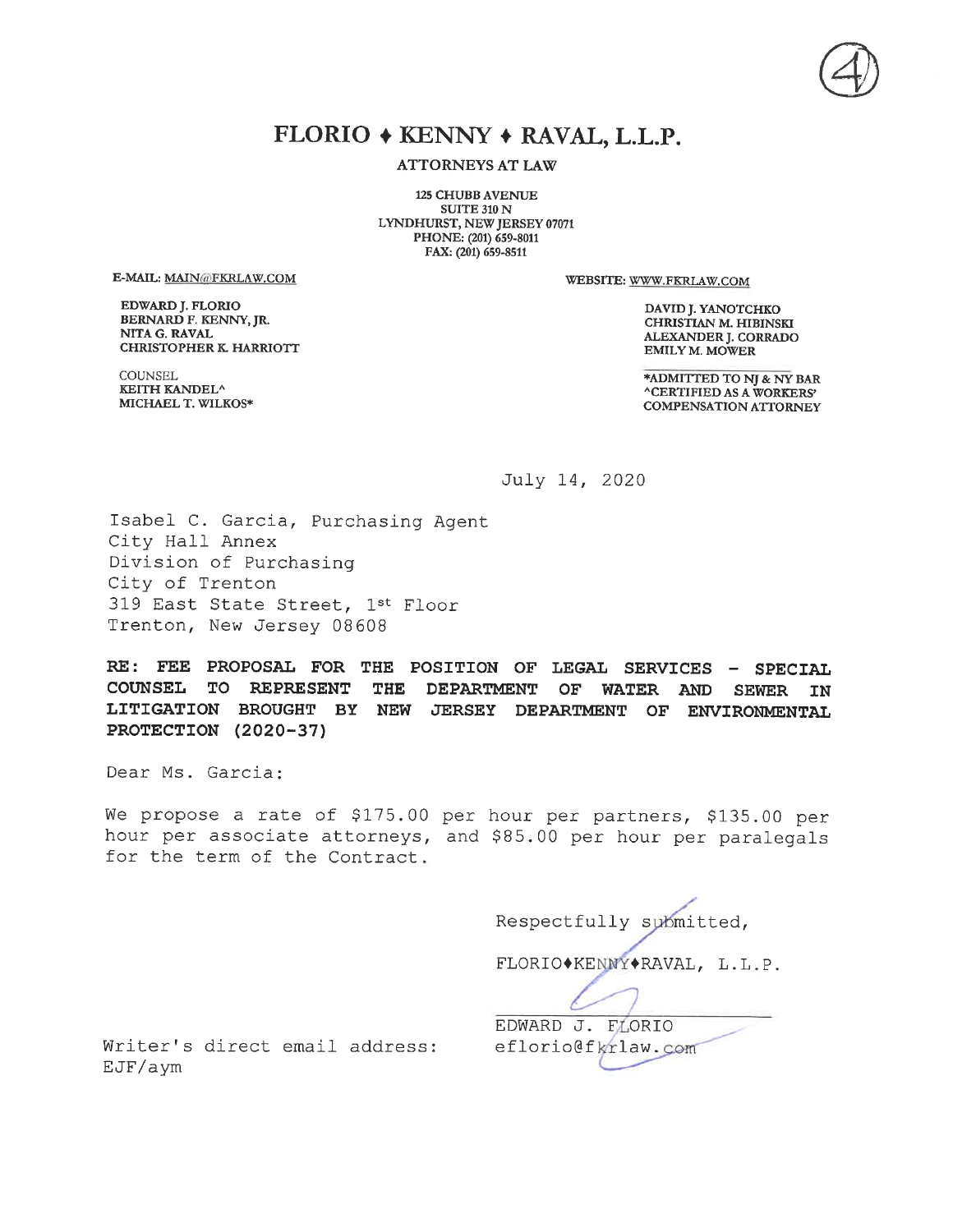## FLORIO + KENNY + RAVAL, L.L.P.

**ATTORNEYS AT LAW** 

**125 CHUBB AVENUE SUITE 310 N** LYNDHURST, NEW JERSEY 07071 PHONE: (201) 659-8011 FAX: (201) 659-8511

E-MAIL: MAIN@FKRLAW.COM

**EDWARD J. FLORIO** BERNARD F. KENNY, JR. NITA G. RAVAL **CHRISTOPHER K. HARRIOTT**  WEBSITE: WWW.FKRLAW.COM

DAVID J. YANOTCHKO CHRISTIAN M. HIBINSKI **ALEXANDER J. CORRADO EMILY M. MOWER** 

\*ADMITTED TO NJ & NY BAR **^CERTIFIED AS A WORKERS' COMPENSATION ATTORNEY** 

**COUNSEL** KEITH KANDEL^ MICHAEL T. WILKOS\*

July 14, 2020

Isabel C. Garcia, Purchasing Agent City Hall Annex Division of Purchasing City of Trenton 319 East State Street, 1st Floor Trenton, New Jersey 08608

RE: FEE PROPOSAL FOR THE POSITION OF LEGAL SERVICES - SPECIAL COUNSEL TO REPRESENT THE DEPARTMENT OF **WATER AND SEWER IN** LITIGATION BROUGHT BY NEW JERSEY DEPARTMENT OF ENVIRONMENTAL PROTECTION (2020-37)

Dear Ms. Garcia:

We propose a rate of \$175.00 per hour per partners, \$135.00 per hour per associate attorneys, and \$85.00 per hour per paralegals for the term of the Contract.

> Respectfully submitted, FLORIO\*KENNY\*RAVAL, L.L.P. EDWARD J. FLORIO eflorio@fkrlaw.com

Writer's direct email address: EJF/aym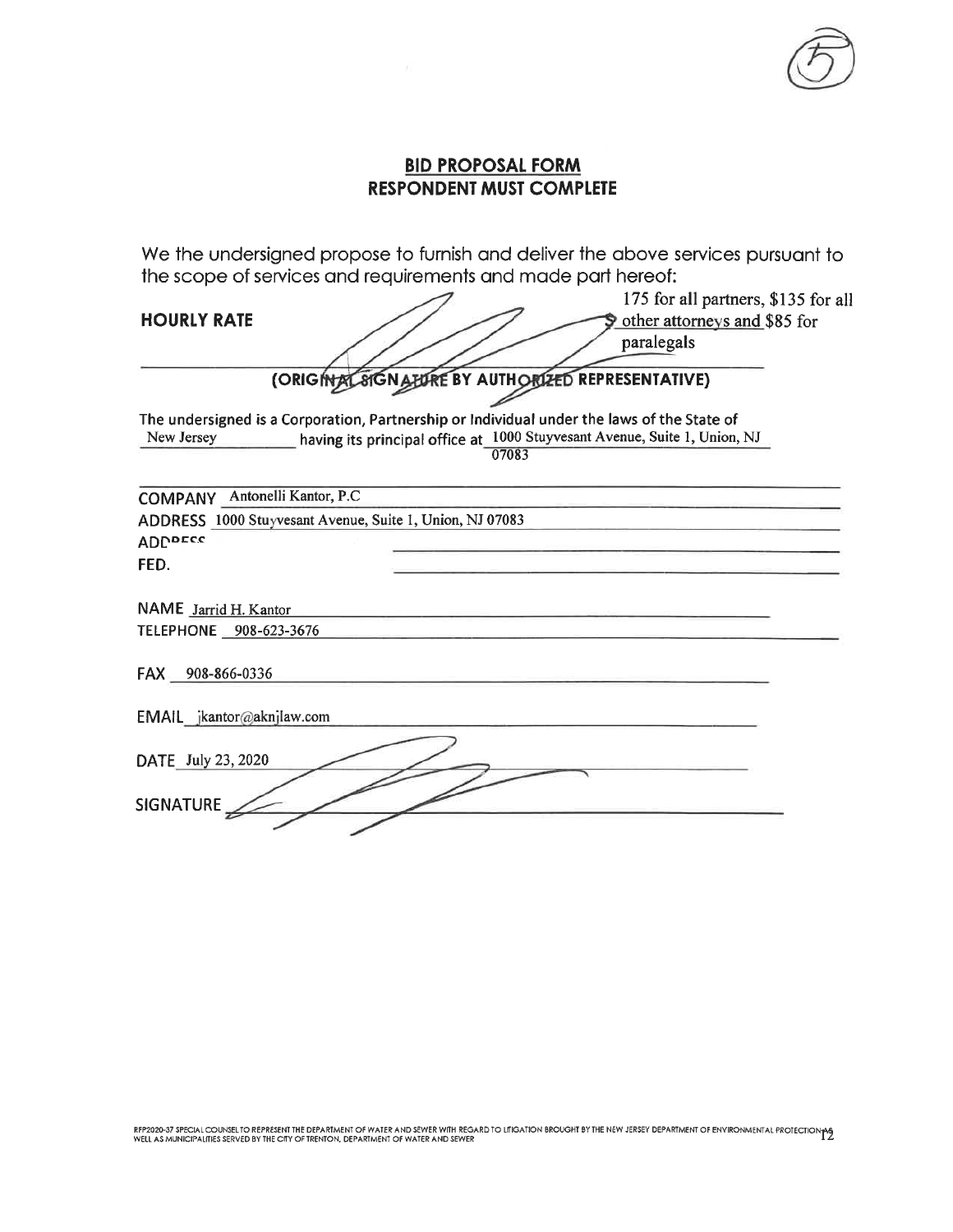

175 for all partners, \$135 for all

### **BID PROPOSAL FORM RESPONDENT MUST COMPLETE**

We the undersigned propose to furnish and deliver the above services pursuant to the scope of services and requirements and made part hereof:

| <b>HOURLY RATE</b>                                       |                                                                                                     | 175 for all partners, \$135 for a                                         |
|----------------------------------------------------------|-----------------------------------------------------------------------------------------------------|---------------------------------------------------------------------------|
|                                                          |                                                                                                     | other attorneys and \$85 for<br>paralegals                                |
|                                                          |                                                                                                     |                                                                           |
|                                                          | (ORIGINAL SIGNATURE BY AUTHORIZED REPRESENTATIVE)                                                   |                                                                           |
| New Jersey                                               | The undersigned is a Corporation, Partnership or Individual under the laws of the State of<br>07083 | having its principal office at 1000 Stuyvesant Avenue, Suite 1, Union, NJ |
| COMPANY Antonelli Kantor, P.C.                           |                                                                                                     |                                                                           |
| ADDRESS 1000 Stuyvesant Avenue, Suite 1, Union, NJ 07083 |                                                                                                     |                                                                           |
| <b>ADDDECC</b>                                           |                                                                                                     |                                                                           |
| FED.                                                     |                                                                                                     |                                                                           |
| NAME Jarrid H. Kantor                                    |                                                                                                     |                                                                           |
| TELEPHONE __ 908-623-3676                                |                                                                                                     |                                                                           |
| FAX 908-866-0336                                         |                                                                                                     |                                                                           |
| EMAIL jkantor@aknjlaw.com                                |                                                                                                     |                                                                           |
| DATE July 23, 2020<br><b>SIGNATURE</b>                   |                                                                                                     |                                                                           |
|                                                          |                                                                                                     |                                                                           |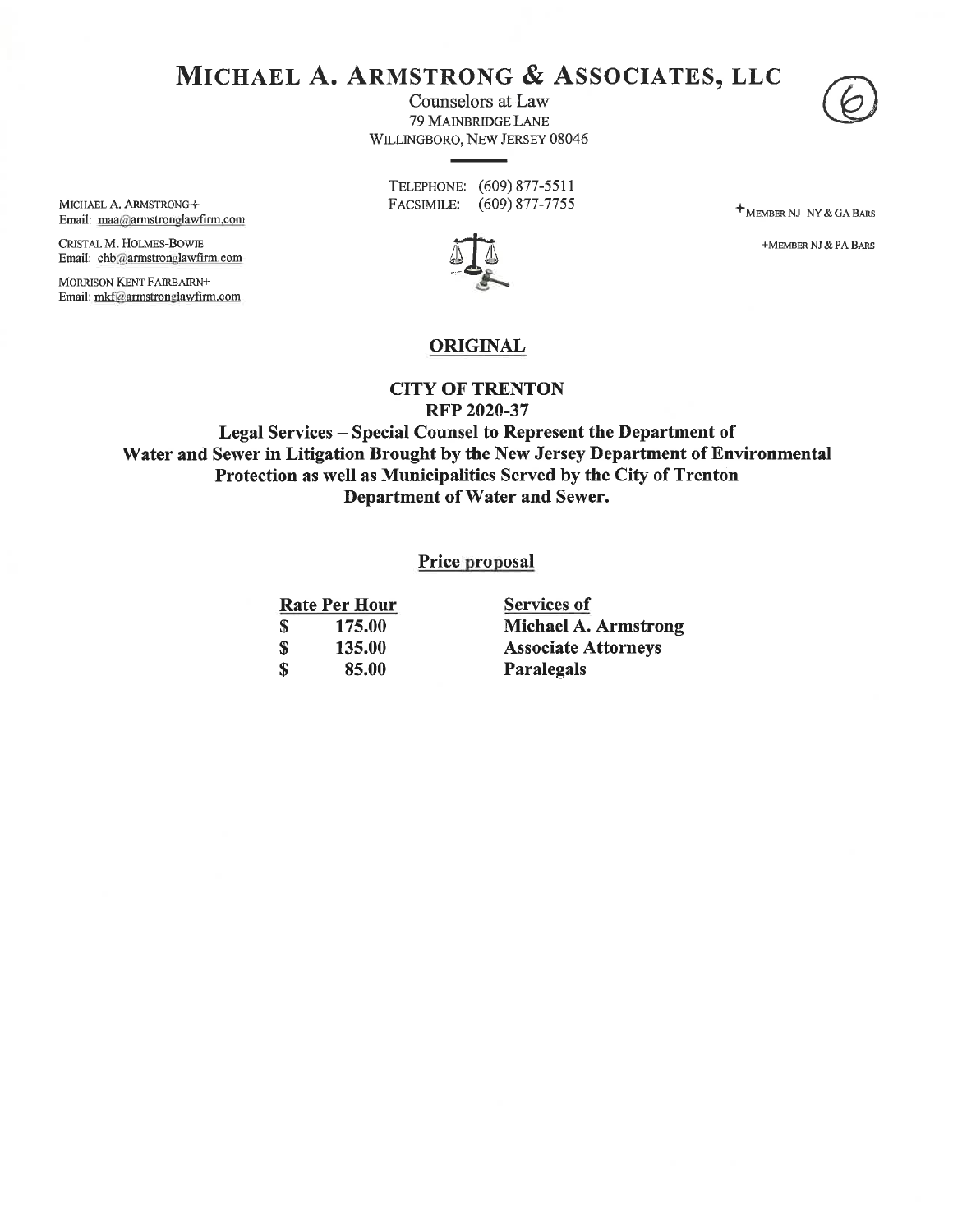## MICHAEL A. ARMSTRONG & ASSOCIATES, LLC

Counselors at Law 79 MAINBRIDGE LANE WILLINGBORO, NEW JERSEY 08046



TELEPHONE: (609) 877-5511 FACSIMILE: (609) 877-7755

**+** MEMBER NJ NY & GA BARS

+MEMBER NJ & PA BARS



**ORIGINAL** 

#### **CITY OF TRENTON RFP 2020-37**

Legal Services - Special Counsel to Represent the Department of Water and Sewer in Litigation Brought by the New Jersey Department of Environmental Protection as well as Municipalities Served by the City of Trenton Department of Water and Sewer.

#### Price proposal

|   | <b>Rate Per Hour</b> |
|---|----------------------|
| S | 175.00               |
| S | 135.00               |
| S | 85.00                |

**Services of Michael A. Armstrong Associate Attorneys** Paralegals

MICHAEL A. ARMSTRONG+ Email: maa@armstronglawfirm.com

CRISTAL M. HOLMES-BOWIE Email: chb@armstronglawfirm.com

MORRISON KENT FAIRBAIRN+ Email: mkf@armstronglawfirm.com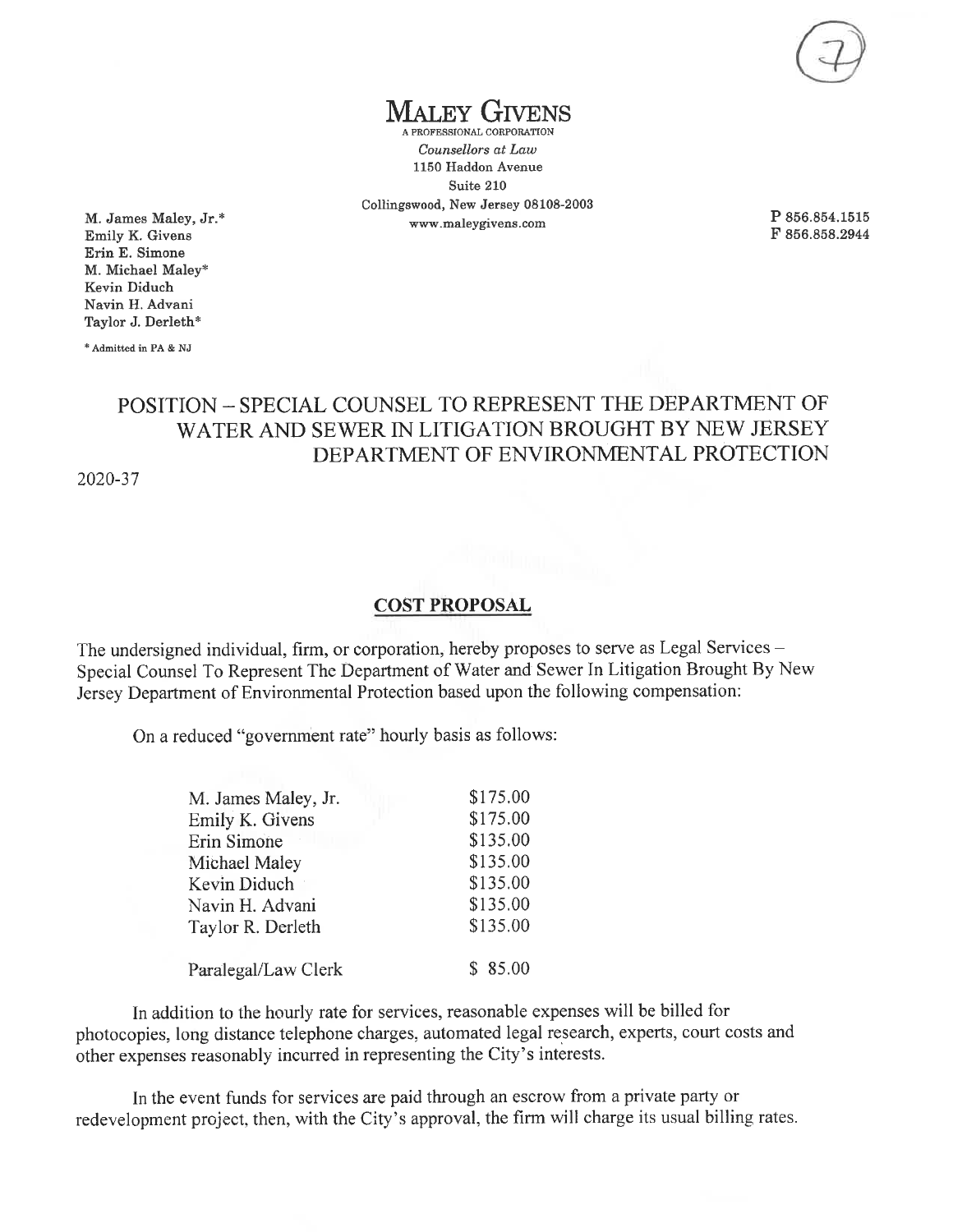**IALEY GIVENS** 

A PROFESSIONAL CORPORATION Counsellors at Law 1150 Haddon Avenue Suite 210 Collingswood, New Jersey 08108-2003  ${\tt www.maleygivens.com}$ 

P 856.854.1515 F 856.858.2944

M. James Maley, Jr.\* Emily K. Givens Erin E. Simone M. Michael Maley\* Kevin Diduch Navin H. Advani Taylor J. Derleth\*

\* Admitted in PA & NJ

## POSITION - SPECIAL COUNSEL TO REPRESENT THE DEPARTMENT OF WATER AND SEWER IN LITIGATION BROUGHT BY NEW JERSEY DEPARTMENT OF ENVIRONMENTAL PROTECTION

2020-37

#### **COST PROPOSAL**

The undersigned individual, firm, or corporation, hereby proposes to serve as Legal Services -Special Counsel To Represent The Department of Water and Sewer In Litigation Brought By New Jersey Department of Environmental Protection based upon the following compensation:

On a reduced "government rate" hourly basis as follows:

| M. James Maley, Jr. | \$175.00 |
|---------------------|----------|
| Emily K. Givens     | \$175.00 |
| Erin Simone         | \$135.00 |
| Michael Maley       | \$135.00 |
| Kevin Diduch        | \$135.00 |
| Navin H. Advani     | \$135.00 |
| Taylor R. Derleth   | \$135.00 |
|                     |          |
| Paralegal/Law Clerk | \$85.00  |

In addition to the hourly rate for services, reasonable expenses will be billed for photocopies, long distance telephone charges, automated legal research, experts, court costs and other expenses reasonably incurred in representing the City's interests.

In the event funds for services are paid through an escrow from a private party or redevelopment project, then, with the City's approval, the firm will charge its usual billing rates.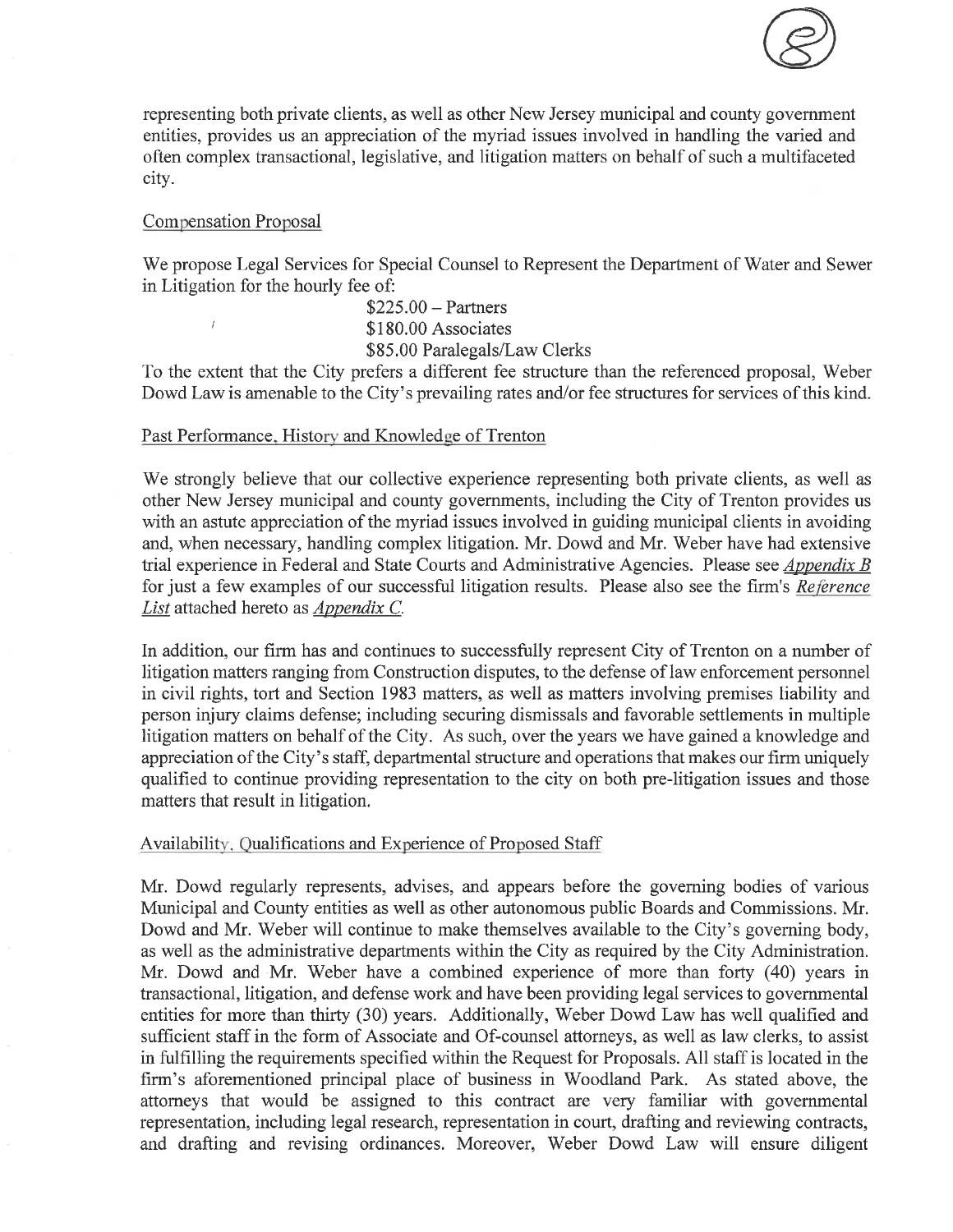

representing both private clients, as well as other New Jersey municipal and county government entities, provides us an appreciation of the myriad issues involved in handling the varied and often complex transactional, legislative, and litigation matters on behalf of such a multifaceted city.

### **Compensation Proposal**

We propose Legal Services for Special Counsel to Represent the Department of Water and Sewer in Litigation for the hourly fee of:

> $$225.00 - Partners$ \$180.00 Associates \$85.00 Paralegals/Law Clerks

To the extent that the City prefers a different fee structure than the referenced proposal, Weber Dowd Law is amenable to the City's prevailing rates and/or fee structures for services of this kind.

#### Past Performance, History and Knowledge of Trenton

We strongly believe that our collective experience representing both private clients, as well as other New Jersey municipal and county governments, including the City of Trenton provides us with an astute appreciation of the myriad issues involved in guiding municipal clients in avoiding and, when necessary, handling complex litigation. Mr. Dowd and Mr. Weber have had extensive trial experience in Federal and State Courts and Administrative Agencies. Please see *Appendix B* for just a few examples of our successful litigation results. Please also see the firm's Reference List attached hereto as Appendix C.

In addition, our firm has and continues to successfully represent City of Trenton on a number of litigation matters ranging from Construction disputes, to the defense of law enforcement personnel in civil rights, tort and Section 1983 matters, as well as matters involving premises liability and person injury claims defense; including securing dismissals and favorable settlements in multiple litigation matters on behalf of the City. As such, over the years we have gained a knowledge and appreciation of the City's staff, departmental structure and operations that makes our firm uniquely qualified to continue providing representation to the city on both pre-litigation issues and those matters that result in litigation.

### Availability, Qualifications and Experience of Proposed Staff

Mr. Dowd regularly represents, advises, and appears before the governing bodies of various Municipal and County entities as well as other autonomous public Boards and Commissions. Mr. Dowd and Mr. Weber will continue to make themselves available to the City's governing body, as well as the administrative departments within the City as required by the City Administration. Mr. Dowd and Mr. Weber have a combined experience of more than forty (40) years in transactional, litigation, and defense work and have been providing legal services to governmental entities for more than thirty (30) years. Additionally, Weber Dowd Law has well qualified and sufficient staff in the form of Associate and Of-counsel attorneys, as well as law clerks, to assist in fulfilling the requirements specified within the Request for Proposals. All staff is located in the firm's aforementioned principal place of business in Woodland Park. As stated above, the attorneys that would be assigned to this contract are very familiar with governmental representation, including legal research, representation in court, drafting and reviewing contracts, and drafting and revising ordinances. Moreover, Weber Dowd Law will ensure diligent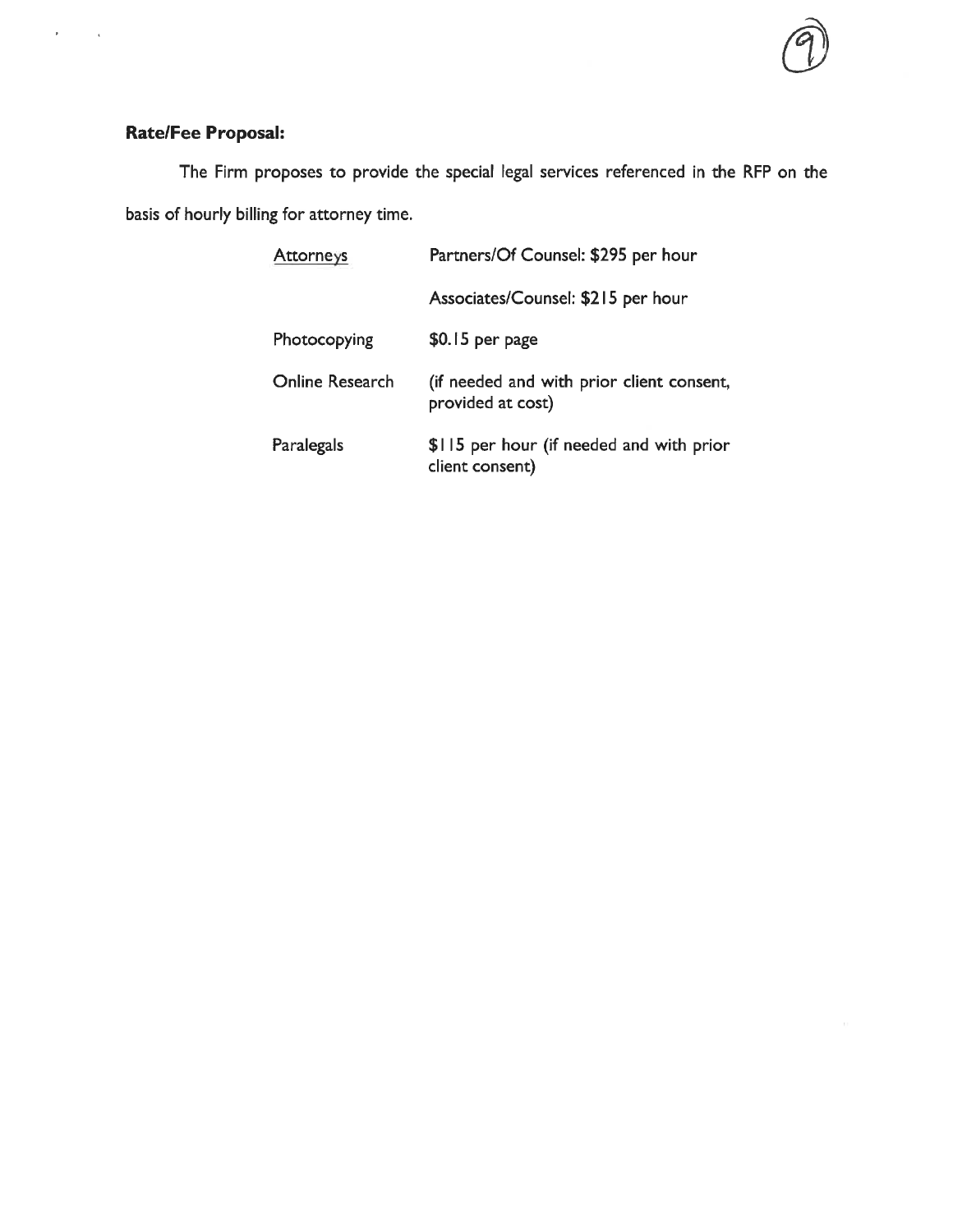

## Rate/Fee Proposal:

ł,

 $\overline{\mathbf{t}}$ 

The Firm proposes to provide the special legal services referenced in the RFP on the basis of hourly billing for attorney time.

| <b>Attorneys</b> | Partners/Of Counsel: \$295 per hour                            |  |  |  |
|------------------|----------------------------------------------------------------|--|--|--|
|                  | Associates/Counsel: \$215 per hour                             |  |  |  |
| Photocopying     | $$0.15$ per page                                               |  |  |  |
| Online Research  | (if needed and with prior client consent,<br>provided at cost) |  |  |  |
| Paralegals       | \$115 per hour (if needed and with prior<br>client consent)    |  |  |  |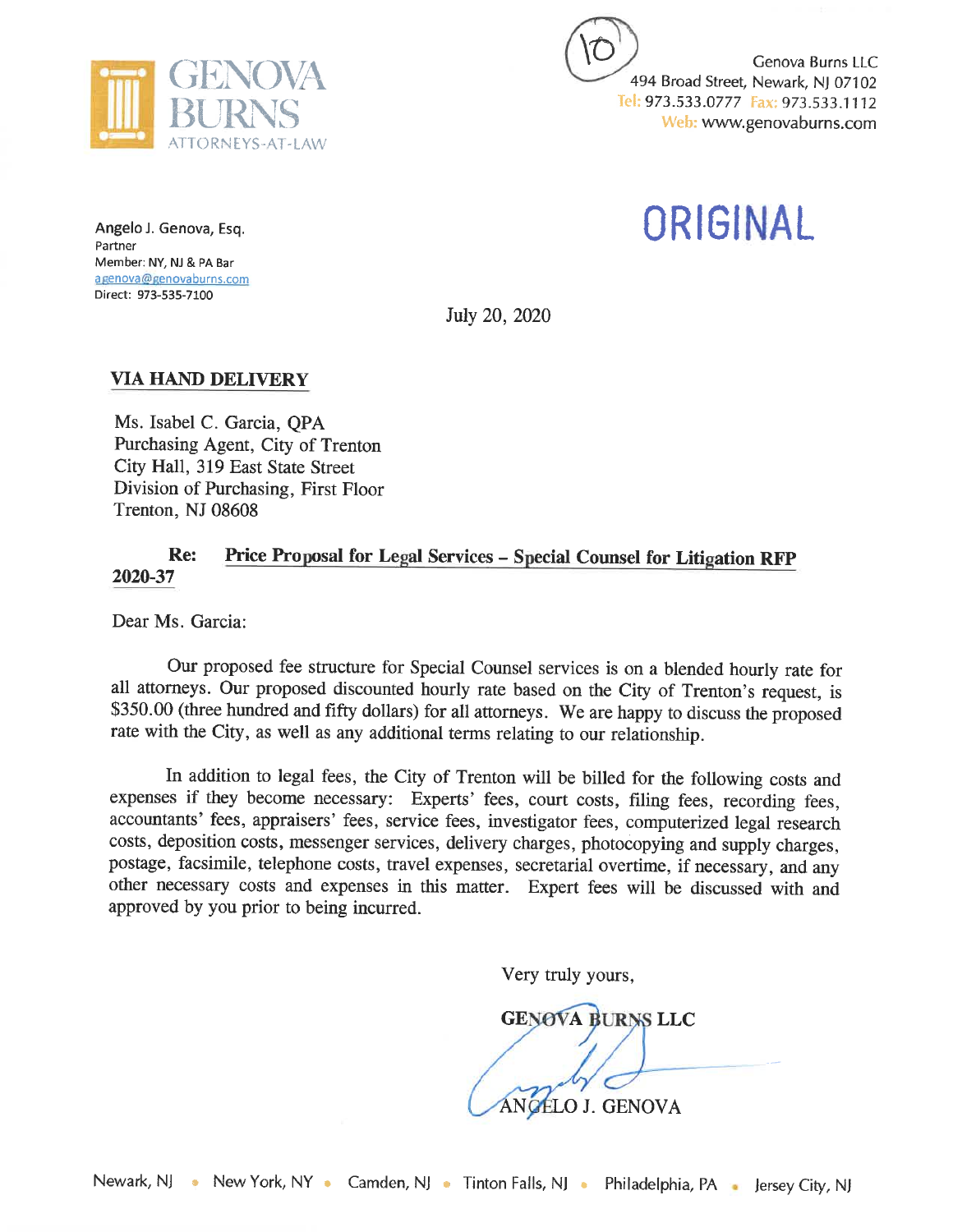

Genova Burns LLC 494 Broad Street, Newark, NJ 07102 Tel: 973.533.0777 Fax: 973.533.1112 Web: www.genovaburns.com

ORIGINAL

Angelo J. Genova, Esq. Partner Member: NY, NJ & PA Bar agenova@genovaburns.com Direct: 973-535-7100

July 20, 2020

## **VIA HAND DELIVERY**

Ms. Isabel C. Garcia, QPA Purchasing Agent, City of Trenton City Hall, 319 East State Street Division of Purchasing, First Floor Trenton, NJ 08608

#### Re: Price Proposal for Legal Services - Special Counsel for Litigation RFP 2020-37

Dear Ms. Garcia:

Our proposed fee structure for Special Counsel services is on a blended hourly rate for all attorneys. Our proposed discounted hourly rate based on the City of Trenton's request, is \$350.00 (three hundred and fifty dollars) for all attorneys. We are happy to discuss the proposed rate with the City, as well as any additional terms relating to our relationship.

In addition to legal fees, the City of Trenton will be billed for the following costs and expenses if they become necessary: Experts' fees, court costs, filing fees, recording fees, accountants' fees, appraisers' fees, service fees, investigator fees, computerized legal research costs, deposition costs, messenger services, delivery charges, photocopying and supply charges, postage, facsimile, telephone costs, travel expenses, secretarial overtime, if necessary, and any other necessary costs and expenses in this matter. Expert fees will be discussed with and approved by you prior to being incurred.

Very truly yours,

**GENOVA BURNS LLC** ANGÉLO J. GENOVA